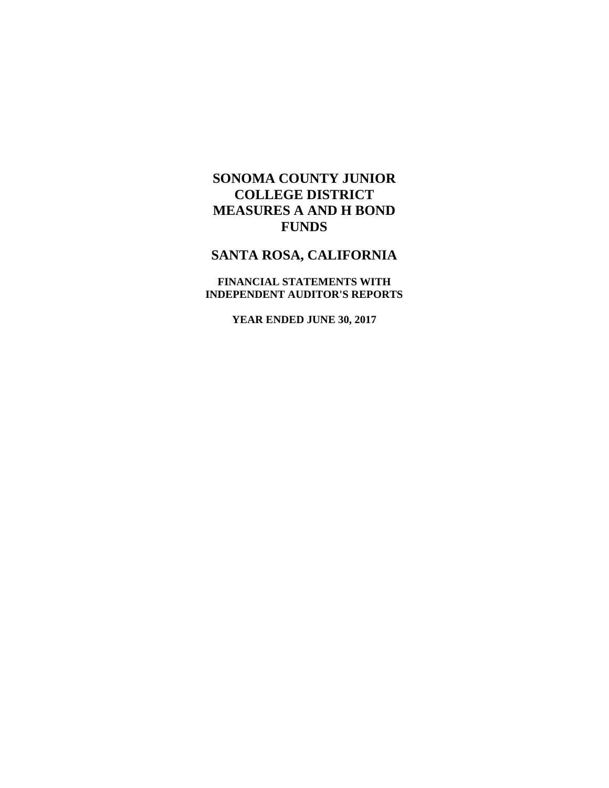# **SANTA ROSA, CALIFORNIA**

**FINANCIAL STATEMENTS WITH INDEPENDENT AUDITOR'S REPORTS**

**YEAR ENDED JUNE 30, 2017**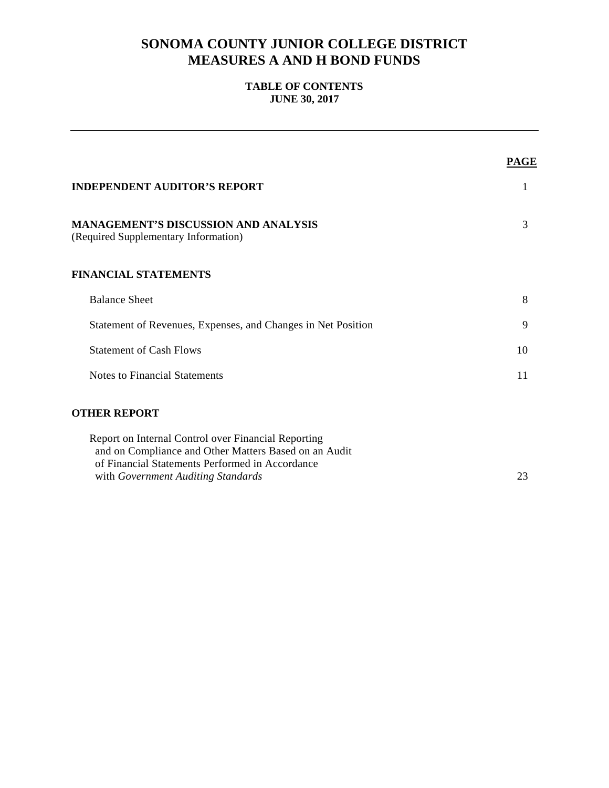### **TABLE OF CONTENTS JUNE 30, 2017**

|                                                                                                                                                                                                       | PAGE |
|-------------------------------------------------------------------------------------------------------------------------------------------------------------------------------------------------------|------|
| <b>INDEPENDENT AUDITOR'S REPORT</b>                                                                                                                                                                   | 1    |
| <b>MANAGEMENT'S DISCUSSION AND ANALYSIS</b><br>(Required Supplementary Information)                                                                                                                   | 3    |
| <b>FINANCIAL STATEMENTS</b>                                                                                                                                                                           |      |
| <b>Balance Sheet</b>                                                                                                                                                                                  | 8    |
| Statement of Revenues, Expenses, and Changes in Net Position                                                                                                                                          | 9    |
| <b>Statement of Cash Flows</b>                                                                                                                                                                        | 10   |
| <b>Notes to Financial Statements</b>                                                                                                                                                                  | 11   |
| <b>OTHER REPORT</b>                                                                                                                                                                                   |      |
| Report on Internal Control over Financial Reporting<br>and on Compliance and Other Matters Based on an Audit<br>of Financial Statements Performed in Accordance<br>with Government Auditing Standards | 23   |
|                                                                                                                                                                                                       |      |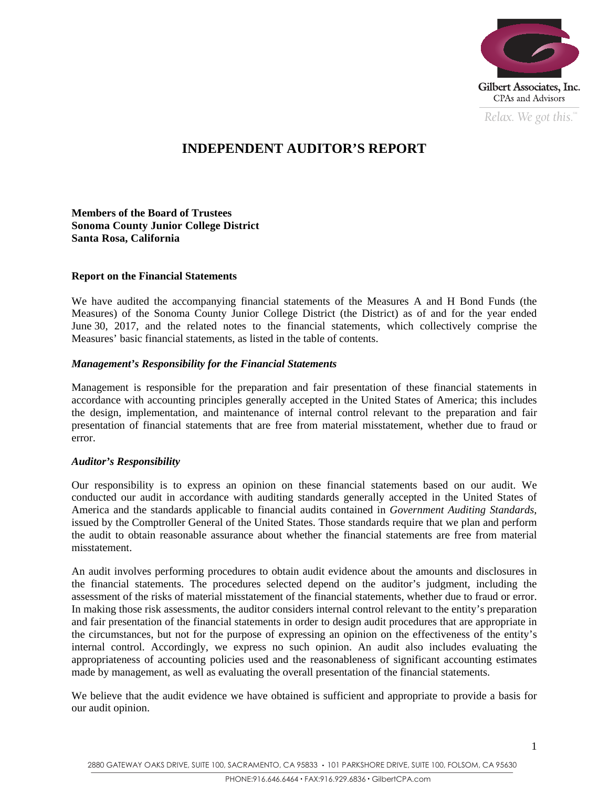

*Relax. We got this.*  $\alpha$ 

## **INDEPENDENT AUDITOR'S REPORT**

**Members of the Board of Trustees Sonoma County Junior College District Santa Rosa, California** 

### **Report on the Financial Statements**

We have audited the accompanying financial statements of the Measures A and H Bond Funds (the Measures) of the Sonoma County Junior College District (the District) as of and for the year ended June 30, 2017, and the related notes to the financial statements, which collectively comprise the Measures' basic financial statements, as listed in the table of contents.

#### *Management's Responsibility for the Financial Statements*

Management is responsible for the preparation and fair presentation of these financial statements in accordance with accounting principles generally accepted in the United States of America; this includes the design, implementation, and maintenance of internal control relevant to the preparation and fair presentation of financial statements that are free from material misstatement, whether due to fraud or error.

#### *Auditor's Responsibility*

Our responsibility is to express an opinion on these financial statements based on our audit. We conducted our audit in accordance with auditing standards generally accepted in the United States of America and the standards applicable to financial audits contained in *Government Auditing Standards*, issued by the Comptroller General of the United States. Those standards require that we plan and perform the audit to obtain reasonable assurance about whether the financial statements are free from material misstatement.

An audit involves performing procedures to obtain audit evidence about the amounts and disclosures in the financial statements. The procedures selected depend on the auditor's judgment, including the assessment of the risks of material misstatement of the financial statements, whether due to fraud or error. In making those risk assessments, the auditor considers internal control relevant to the entity's preparation and fair presentation of the financial statements in order to design audit procedures that are appropriate in the circumstances, but not for the purpose of expressing an opinion on the effectiveness of the entity's internal control. Accordingly, we express no such opinion. An audit also includes evaluating the appropriateness of accounting policies used and the reasonableness of significant accounting estimates made by management, as well as evaluating the overall presentation of the financial statements.

We believe that the audit evidence we have obtained is sufficient and appropriate to provide a basis for our audit opinion.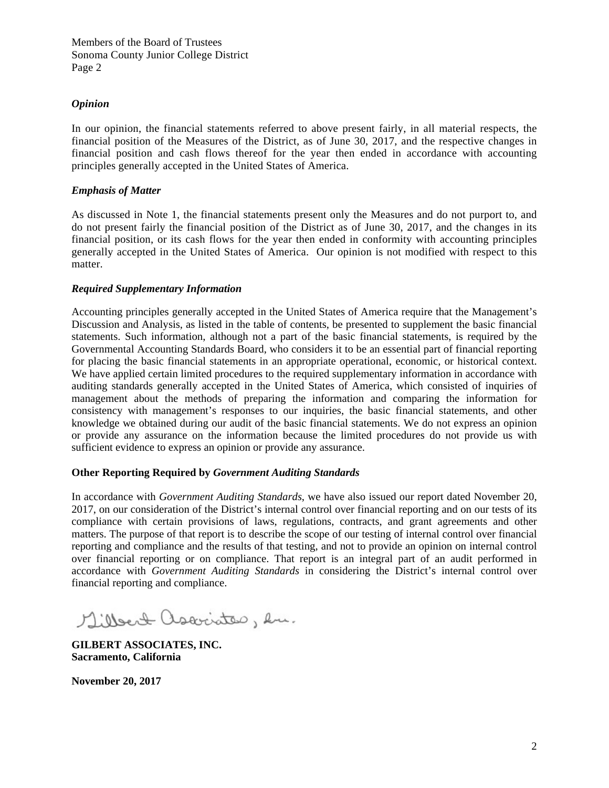### *Opinion*

In our opinion, the financial statements referred to above present fairly, in all material respects, the financial position of the Measures of the District, as of June 30, 2017, and the respective changes in financial position and cash flows thereof for the year then ended in accordance with accounting principles generally accepted in the United States of America.

### *Emphasis of Matter*

 generally accepted in the United States of America. Our opinion is not modified with respect to this As discussed in Note 1, the financial statements present only the Measures and do not purport to, and do not present fairly the financial position of the District as of June 30, 2017, and the changes in its financial position, or its cash flows for the year then ended in conformity with accounting principles matter.

### *Required Supplementary Information*

Accounting principles generally accepted in the United States of America require that the Management's Discussion and Analysis, as listed in the table of contents, be presented to supplement the basic financial statements. Such information, although not a part of the basic financial statements, is required by the Governmental Accounting Standards Board, who considers it to be an essential part of financial reporting for placing the basic financial statements in an appropriate operational, economic, or historical context. We have applied certain limited procedures to the required supplementary information in accordance with auditing standards generally accepted in the United States of America, which consisted of inquiries of management about the methods of preparing the information and comparing the information for consistency with management's responses to our inquiries, the basic financial statements, and other knowledge we obtained during our audit of the basic financial statements. We do not express an opinion or provide any assurance on the information because the limited procedures do not provide us with sufficient evidence to express an opinion or provide any assurance.

### **Other Reporting Required by** *Government Auditing Standards*

In accordance with *Government Auditing Standards*, we have also issued our report dated November 20, 2017, on our consideration of the District's internal control over financial reporting and on our tests of its compliance with certain provisions of laws, regulations, contracts, and grant agreements and other matters. The purpose of that report is to describe the scope of our testing of internal control over financial reporting and compliance and the results of that testing, and not to provide an opinion on internal control over financial reporting or on compliance. That report is an integral part of an audit performed in accordance with *Government Auditing Standards* in considering the District's internal control over financial reporting and compliance.

Millert associates, en.

**GILBERT ASSOCIATES, INC. Sacramento, California** 

**November 20, 2017**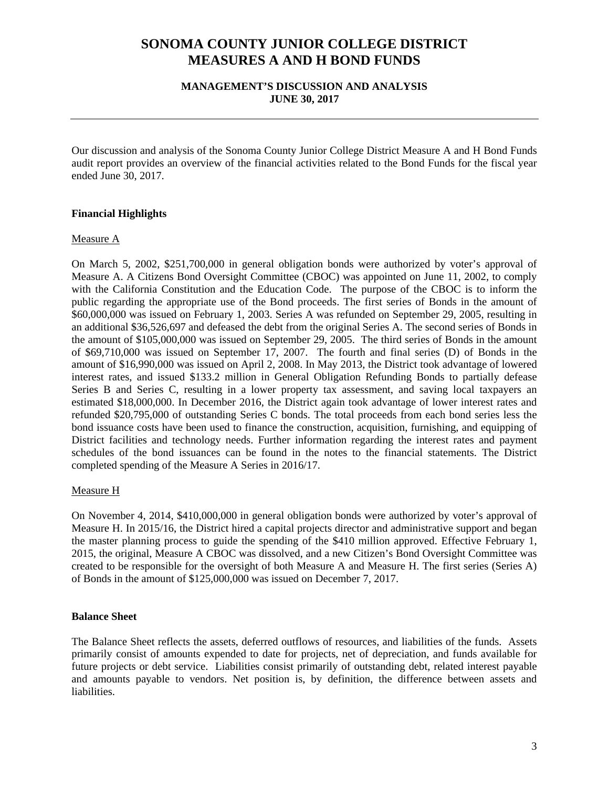### **MANAGEMENT'S DISCUSSION AND ANALYSIS JUNE 30, 2017**

Our discussion and analysis of the Sonoma County Junior College District Measure A and H Bond Funds audit report provides an overview of the financial activities related to the Bond Funds for the fiscal year ended June 30, 2017.

### **Financial Highlights**

### Measure A

On March 5, 2002, \$251,700,000 in general obligation bonds were authorized by voter's approval of Measure A. A Citizens Bond Oversight Committee (CBOC) was appointed on June 11, 2002, to comply with the California Constitution and the Education Code. The purpose of the CBOC is to inform the public regarding the appropriate use of the Bond proceeds. The first series of Bonds in the amount of \$60,000,000 was issued on February 1, 2003. Series A was refunded on September 29, 2005, resulting in an additional \$36,526,697 and defeased the debt from the original Series A. The second series of Bonds in the amount of \$105,000,000 was issued on September 29, 2005. The third series of Bonds in the amount of \$69,710,000 was issued on September 17, 2007. The fourth and final series (D) of Bonds in the amount of \$16,990,000 was issued on April 2, 2008. In May 2013, the District took advantage of lowered interest rates, and issued \$133.2 million in General Obligation Refunding Bonds to partially defease Series B and Series C, resulting in a lower property tax assessment, and saving local taxpayers an estimated \$18,000,000. In December 2016, the District again took advantage of lower interest rates and refunded \$20,795,000 of outstanding Series C bonds. The total proceeds from each bond series less the bond issuance costs have been used to finance the construction, acquisition, furnishing, and equipping of District facilities and technology needs. Further information regarding the interest rates and payment schedules of the bond issuances can be found in the notes to the financial statements. The District completed spending of the Measure A Series in 2016/17.

### Measure H

On November 4, 2014, \$410,000,000 in general obligation bonds were authorized by voter's approval of Measure H. In 2015/16, the District hired a capital projects director and administrative support and began the master planning process to guide the spending of the \$410 million approved. Effective February 1, 2015, the original, Measure A CBOC was dissolved, and a new Citizen's Bond Oversight Committee was created to be responsible for the oversight of both Measure A and Measure H. The first series (Series A) of Bonds in the amount of \$125,000,000 was issued on December 7, 2017.

#### **Balance Sheet**

The Balance Sheet reflects the assets, deferred outflows of resources, and liabilities of the funds. Assets primarily consist of amounts expended to date for projects, net of depreciation, and funds available for future projects or debt service. Liabilities consist primarily of outstanding debt, related interest payable and amounts payable to vendors. Net position is, by definition, the difference between assets and liabilities.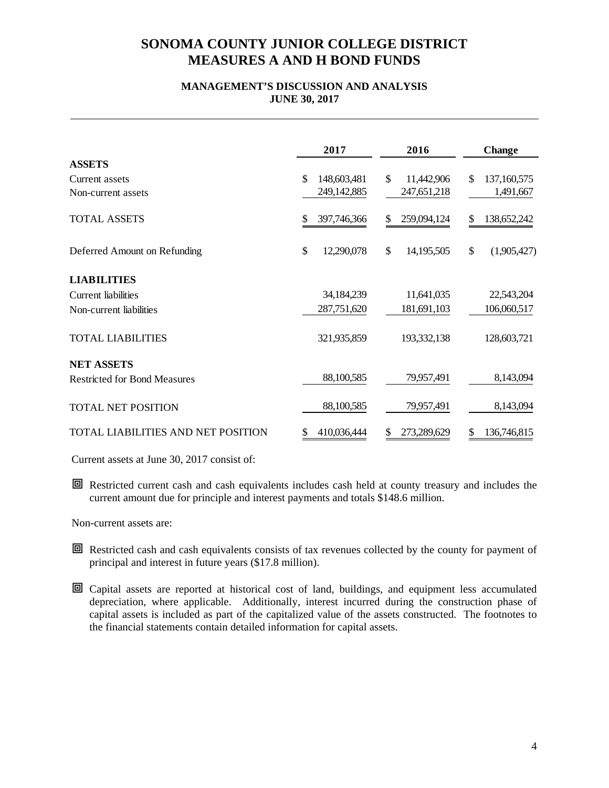### **MANAGEMENT'S DISCUSSION AND ANALYSIS JUNE 30, 2017**

|                                     | 2017              | 2016               | Change            |
|-------------------------------------|-------------------|--------------------|-------------------|
| <b>ASSETS</b>                       |                   |                    |                   |
| Current assets                      | \$<br>148,603,481 | \$.<br>11,442,906  | 137,160,575<br>\$ |
| Non-current assets                  | 249,142,885       | 247,651,218        | 1,491,667         |
| <b>TOTAL ASSETS</b>                 | 397,746,366       | 259,094,124<br>\$  | 138,652,242<br>\$ |
| Deferred Amount on Refunding        | \$<br>12,290,078  | \$<br>14, 195, 505 | \$<br>(1,905,427) |
| <b>LIABILITIES</b>                  |                   |                    |                   |
| Current liabilities                 | 34,184,239        | 11,641,035         | 22,543,204        |
| Non-current liabilities             | 287,751,620       | 181,691,103        | 106,060,517       |
| <b>TOTAL LIABILITIES</b>            | 321,935,859       | 193,332,138        | 128,603,721       |
| <b>NET ASSETS</b>                   |                   |                    |                   |
| <b>Restricted for Bond Measures</b> | 88,100,585        | 79,957,491         | 8,143,094         |
| <b>TOTAL NET POSITION</b>           | 88,100,585        | 79,957,491         | 8,143,094         |
| TOTAL LIABILITIES AND NET POSITION  | 410,036,444       | 273,289,629<br>S   | 136,746,815<br>\$ |

Current assets at June 30, 2017 consist of:

 Restricted current cash and cash equivalents includes cash held at county treasury and includes the current amount due for principle and interest payments and totals \$148.6 million.

Non-current assets are:

 Restricted cash and cash equivalents consists of tax revenues collected by the county for payment of principal and interest in future years (\$17.8 million).

 Capital assets are reported at historical cost of land, buildings, and equipment less accumulated depreciation, where applicable. Additionally, interest incurred during the construction phase of capital assets is included as part of the capitalized value of the assets constructed. The footnotes to the financial statements contain detailed information for capital assets.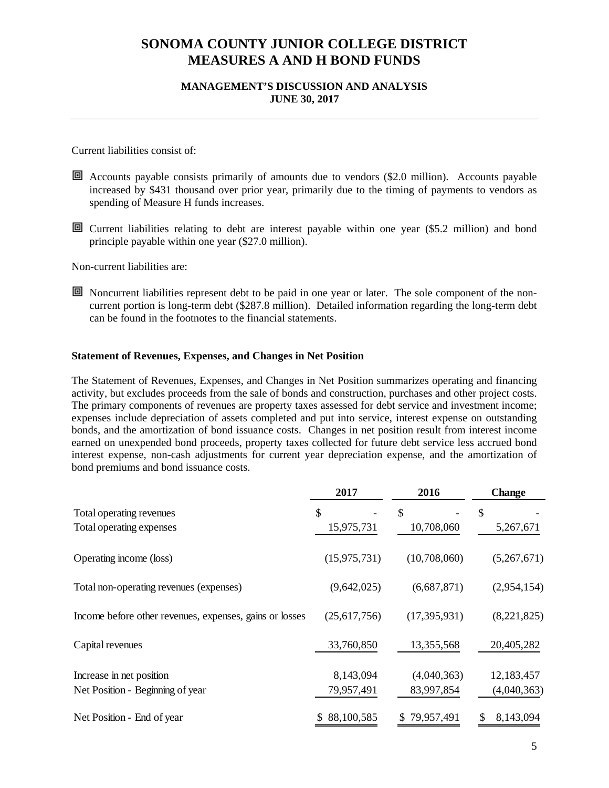### **MANAGEMENT'S DISCUSSION AND ANALYSIS JUNE 30, 2017**

Current liabilities consist of:

- spending of Measure H funds increases. Accounts payable consists primarily of amounts due to vendors (\$2.0 million). Accounts payable increased by \$431 thousand over prior year, primarily due to the timing of payments to vendors as
- Current liabilities relating to debt are interest payable within one year (\$5.2 million) and bond principle payable within one year (\$27.0 million).

Non-current liabilities are:

 Noncurrent liabilities represent debt to be paid in one year or later. The sole component of the noncurrent portion is long-term debt (\$287.8 million). Detailed information regarding the long-term debt can be found in the footnotes to the financial statements.

### **Statement of Revenues, Expenses, and Changes in Net Position**

activity, but excludes proceeds from the sale of bonds and construction, purchases and other project costs. The Statement of Revenues, Expenses, and Changes in Net Position summarizes operating and financing The primary components of revenues are property taxes assessed for debt service and investment income; expenses include depreciation of assets completed and put into service, interest expense on outstanding bonds, and the amortization of bond issuance costs. Changes in net position result from interest income earned on unexpended bond proceeds, property taxes collected for future debt service less accrued bond interest expense, non-cash adjustments for current year depreciation expense, and the amortization of bond premiums and bond issuance costs.

|                                                         | 2017           | 2016             | <b>Change</b> |
|---------------------------------------------------------|----------------|------------------|---------------|
| Total operating revenues                                | \$             | <sup>\$</sup>    | \$            |
| Total operating expenses                                | 15,975,731     | 10,708,060       | 5,267,671     |
| Operating income (loss)                                 | (15, 975, 731) | (10,708,060)     | (5,267,671)   |
| Total non-operating revenues (expenses)                 | (9,642,025)    | (6,687,871)      | (2,954,154)   |
| Income before other revenues, expenses, gains or losses | (25,617,756)   | (17, 395, 931)   | (8,221,825)   |
| Capital revenues                                        | 33,760,850     | 13,355,568       | 20,405,282    |
| Increase in net position                                | 8,143,094      | (4,040,363)      | 12,183,457    |
| Net Position - Beginning of year                        | 79,957,491     | 83,997,854       | (4,040,363)   |
| Net Position - End of year                              | \$88,100,585   | 79,957,491<br>S. | 8,143,094     |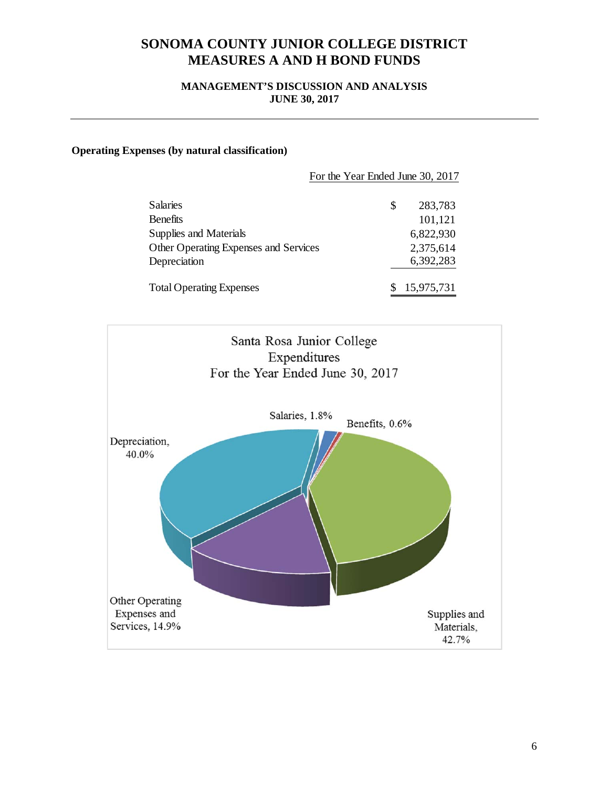## **MANAGEMENT'S DISCUSSION AND ANALYSIS JUNE 30, 2017**

### **Operating Expenses (by natural classification)**

|                                       | For the Year Ended June 30, 2017 |            |  |
|---------------------------------------|----------------------------------|------------|--|
| Salaries                              | \$                               | 283,783    |  |
| <b>Benefits</b>                       |                                  | 101,121    |  |
| Supplies and Materials                |                                  | 6,822,930  |  |
| Other Operating Expenses and Services |                                  | 2,375,614  |  |
| Depreciation                          |                                  | 6,392,283  |  |
| <b>Total Operating Expenses</b>       |                                  | 15,975,731 |  |

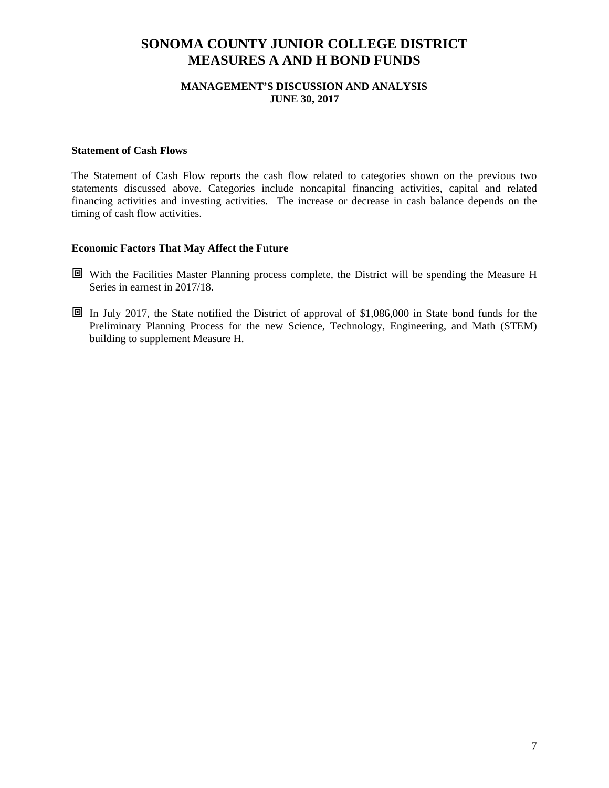### **MANAGEMENT'S DISCUSSION AND ANALYSIS JUNE 30, 2017**

#### **Statement of Cash Flows**

The Statement of Cash Flow reports the cash flow related to categories shown on the previous two statements discussed above. Categories include noncapital financing activities, capital and related financing activities and investing activities. The increase or decrease in cash balance depends on the timing of cash flow activities.

#### **Economic Factors That May Affect the Future**

- With the Facilities Master Planning process complete, the District will be spending the Measure H Series in earnest in 2017/18.
- $\Box$  In July 2017, the State notified the District of approval of \$1,086,000 in State bond funds for the Preliminary Planning Process for the new Science, Technology, Engineering, and Math (STEM) building to supplement Measure H.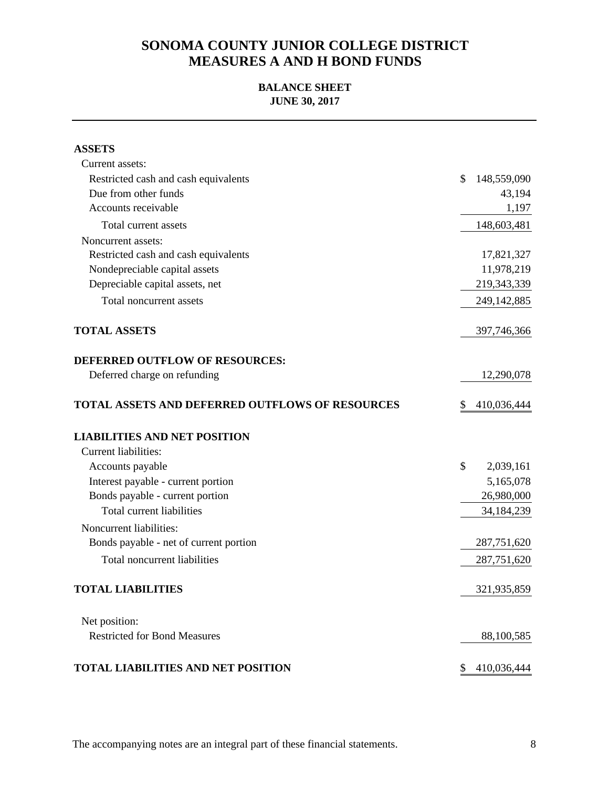### **BALANCE SHEET JUNE 30, 2017**

| <b>ASSETS</b>                                          |                   |
|--------------------------------------------------------|-------------------|
| Current assets:                                        |                   |
| Restricted cash and cash equivalents                   | 148,559,090<br>\$ |
| Due from other funds                                   | 43,194            |
| Accounts receivable                                    | 1,197             |
| Total current assets                                   | 148,603,481       |
| Noncurrent assets:                                     |                   |
| Restricted cash and cash equivalents                   | 17,821,327        |
| Nondepreciable capital assets                          | 11,978,219        |
| Depreciable capital assets, net                        | 219,343,339       |
| Total noncurrent assets                                | 249,142,885       |
| <b>TOTAL ASSETS</b>                                    | 397,746,366       |
| <b>DEFERRED OUTFLOW OF RESOURCES:</b>                  |                   |
| Deferred charge on refunding                           | 12,290,078        |
| <b>TOTAL ASSETS AND DEFERRED OUTFLOWS OF RESOURCES</b> | 410,036,444<br>\$ |
| <b>LIABILITIES AND NET POSITION</b>                    |                   |
| <b>Current liabilities:</b>                            |                   |
| Accounts payable                                       | \$<br>2,039,161   |
| Interest payable - current portion                     | 5,165,078         |
| Bonds payable - current portion                        | 26,980,000        |
| Total current liabilities                              | 34, 184, 239      |
| Noncurrent liabilities:                                |                   |
| Bonds payable - net of current portion                 | 287,751,620       |
| Total noncurrent liabilities                           | 287,751,620       |
| <b>TOTAL LIABILITIES</b>                               | 321,935,859       |
| Net position:                                          |                   |
| <b>Restricted for Bond Measures</b>                    | 88,100,585        |
| <b>TOTAL LIABILITIES AND NET POSITION</b>              | 410,036,444<br>\$ |

The accompanying notes are an integral part of these financial statements. 8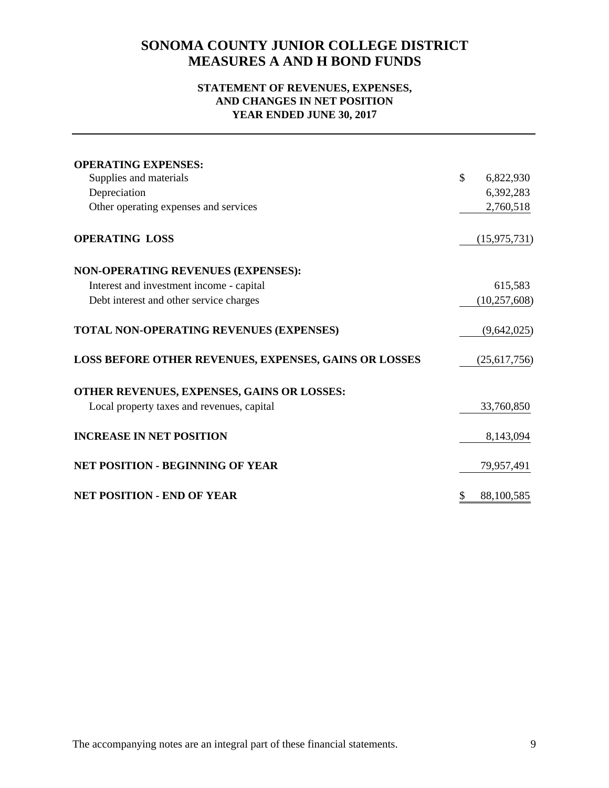## **STATEMENT OF REVENUES, EXPENSES, AND CHANGES IN NET POSITION YEAR ENDED JUNE 30, 2017**

| <b>OPERATING EXPENSES:</b>                            |                 |
|-------------------------------------------------------|-----------------|
| Supplies and materials                                | \$<br>6,822,930 |
| Depreciation                                          | 6,392,283       |
| Other operating expenses and services                 | 2,760,518       |
| <b>OPERATING LOSS</b>                                 | (15, 975, 731)  |
| NON-OPERATING REVENUES (EXPENSES):                    |                 |
| Interest and investment income - capital              | 615,583         |
| Debt interest and other service charges               | (10, 257, 608)  |
| TOTAL NON-OPERATING REVENUES (EXPENSES)               | (9,642,025)     |
| LOSS BEFORE OTHER REVENUES, EXPENSES, GAINS OR LOSSES | (25,617,756)    |
| OTHER REVENUES, EXPENSES, GAINS OR LOSSES:            |                 |
| Local property taxes and revenues, capital            | 33,760,850      |
| <b>INCREASE IN NET POSITION</b>                       | 8,143,094       |
| <b>NET POSITION - BEGINNING OF YEAR</b>               | 79,957,491      |
| <b>NET POSITION - END OF YEAR</b>                     | 88,100,585      |

The accompanying notes are an integral part of these financial statements. 9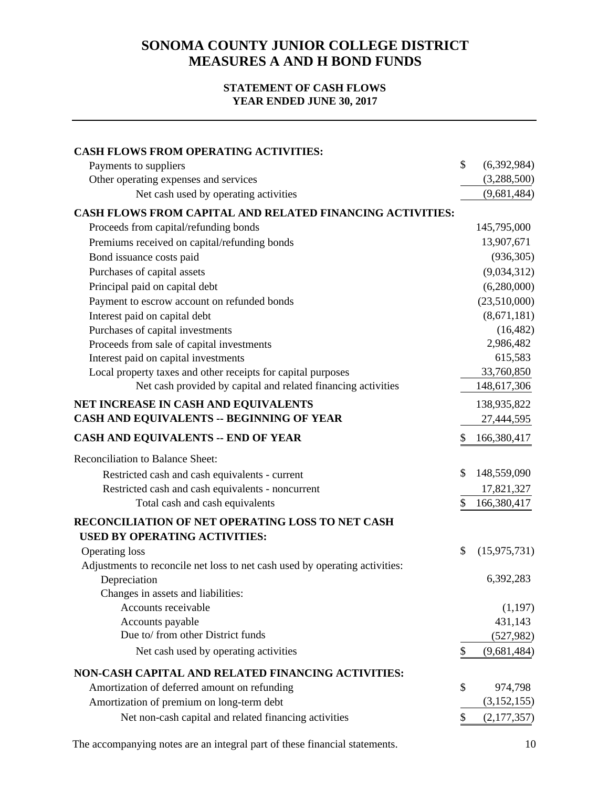### **STATEMENT OF CASH FLOWS YEAR ENDED JUNE 30, 2017**

| <b>CASH FLOWS FROM OPERATING ACTIVITIES:</b>                                |    |                |
|-----------------------------------------------------------------------------|----|----------------|
| Payments to suppliers                                                       | \$ | (6,392,984)    |
| Other operating expenses and services                                       |    | (3,288,500)    |
| Net cash used by operating activities                                       |    | (9,681,484)    |
| <b>CASH FLOWS FROM CAPITAL AND RELATED FINANCING ACTIVITIES:</b>            |    |                |
| Proceeds from capital/refunding bonds                                       |    | 145,795,000    |
| Premiums received on capital/refunding bonds                                |    | 13,907,671     |
| Bond issuance costs paid                                                    |    | (936, 305)     |
| Purchases of capital assets                                                 |    | (9,034,312)    |
| Principal paid on capital debt                                              |    | (6,280,000)    |
| Payment to escrow account on refunded bonds                                 |    | (23,510,000)   |
| Interest paid on capital debt                                               |    | (8,671,181)    |
| Purchases of capital investments                                            |    | (16, 482)      |
| Proceeds from sale of capital investments                                   |    | 2,986,482      |
| Interest paid on capital investments                                        |    | 615,583        |
| Local property taxes and other receipts for capital purposes                |    | 33,760,850     |
| Net cash provided by capital and related financing activities               |    | 148,617,306    |
| NET INCREASE IN CASH AND EQUIVALENTS                                        |    | 138,935,822    |
| CASH AND EQUIVALENTS -- BEGINNING OF YEAR                                   |    | 27,444,595     |
| <b>CASH AND EQUIVALENTS -- END OF YEAR</b>                                  | \$ | 166,380,417    |
| Reconciliation to Balance Sheet:                                            |    |                |
| Restricted cash and cash equivalents - current                              | S  | 148,559,090    |
| Restricted cash and cash equivalents - noncurrent                           |    | 17,821,327     |
| Total cash and cash equivalents                                             | \$ | 166,380,417    |
| RECONCILIATION OF NET OPERATING LOSS TO NET CASH                            |    |                |
| <b>USED BY OPERATING ACTIVITIES:</b>                                        |    |                |
| Operating loss                                                              | \$ | (15, 975, 731) |
| Adjustments to reconcile net loss to net cash used by operating activities: |    |                |
| Depreciation                                                                |    | 6,392,283      |
| Changes in assets and liabilities:                                          |    |                |
| Accounts receivable                                                         |    | (1,197)        |
| Accounts payable                                                            |    | 431,143        |
| Due to/ from other District funds                                           |    | (527, 982)     |
| Net cash used by operating activities                                       | \$ | (9,681,484)    |
| NON-CASH CAPITAL AND RELATED FINANCING ACTIVITIES:                          |    |                |
| Amortization of deferred amount on refunding                                | \$ | 974,798        |
| Amortization of premium on long-term debt                                   |    | (3,152,155)    |
| Net non-cash capital and related financing activities                       | \$ | (2,177,357)    |
|                                                                             |    |                |

The accompanying notes are an integral part of these financial statements. 10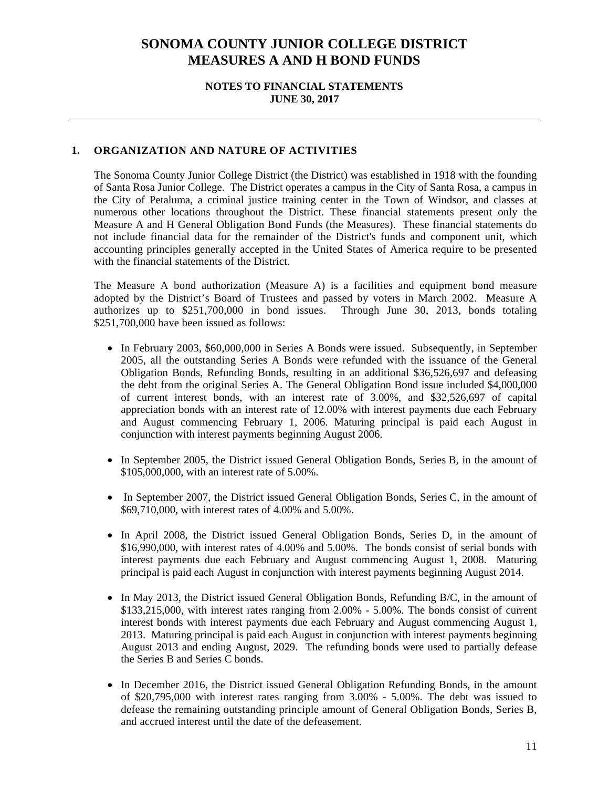### **NOTES TO FINANCIAL STATEMENTS JUNE 30, 2017**

### **1. ORGANIZATION AND NATURE OF ACTIVITIES**

 numerous other locations throughout the District. These financial statements present only the Measure A and H General Obligation Bond Funds (the Measures). These financial statements do The Sonoma County Junior College District (the District) was established in 1918 with the founding of Santa Rosa Junior College. The District operates a campus in the City of Santa Rosa, a campus in the City of Petaluma, a criminal justice training center in the Town of Windsor, and classes at not include financial data for the remainder of the District's funds and component unit, which accounting principles generally accepted in the United States of America require to be presented with the financial statements of the District.

The Measure A bond authorization (Measure A) is a facilities and equipment bond measure adopted by the District's Board of Trustees and passed by voters in March 2002. Measure A authorizes up to \$251,700,000 in bond issues. Through June 30, 2013, bonds totaling \$251,700,000 have been issued as follows:

- In February 2003, \$60,000,000 in Series A Bonds were issued. Subsequently, in September 2005, all the outstanding Series A Bonds were refunded with the issuance of the General Obligation Bonds, Refunding Bonds, resulting in an additional \$36,526,697 and defeasing the debt from the original Series A. The General Obligation Bond issue included \$4,000,000 of current interest bonds, with an interest rate of 3.00%, and \$32,526,697 of capital appreciation bonds with an interest rate of 12.00% with interest payments due each February and August commencing February 1, 2006. Maturing principal is paid each August in conjunction with interest payments beginning August 2006.
- In September 2005, the District issued General Obligation Bonds, Series B, in the amount of \$105,000,000, with an interest rate of 5.00%.
- \$69,710,000, with interest rates of 4.00% and 5.00%. • In September 2007, the District issued General Obligation Bonds, Series C, in the amount of
- In April 2008, the District issued General Obligation Bonds, Series D, in the amount of \$16,990,000, with interest rates of 4.00% and 5.00%. The bonds consist of serial bonds with interest payments due each February and August commencing August 1, 2008. Maturing principal is paid each August in conjunction with interest payments beginning August 2014.
- In May 2013, the District issued General Obligation Bonds, Refunding B/C, in the amount of \$133,215,000, with interest rates ranging from 2.00% - 5.00%. The bonds consist of current interest bonds with interest payments due each February and August commencing August 1, 2013. Maturing principal is paid each August in conjunction with interest payments beginning August 2013 and ending August, 2029. The refunding bonds were used to partially defease the Series B and Series C bonds.
- In December 2016, the District issued General Obligation Refunding Bonds, in the amount of \$20,795,000 with interest rates ranging from 3.00% - 5.00%. The debt was issued to defease the remaining outstanding principle amount of General Obligation Bonds, Series B, and accrued interest until the date of the defeasement.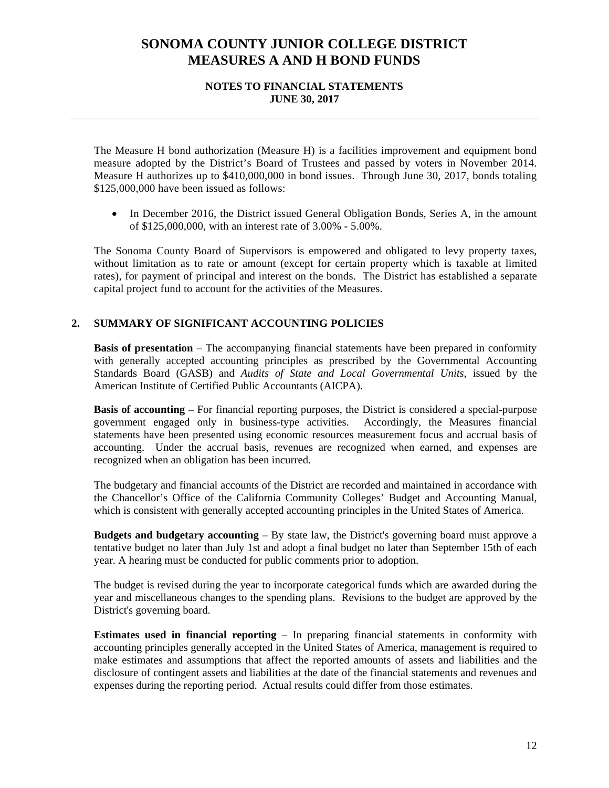### **NOTES TO FINANCIAL STATEMENTS JUNE 30, 2017**

The Measure H bond authorization (Measure H) is a facilities improvement and equipment bond measure adopted by the District's Board of Trustees and passed by voters in November 2014. Measure H authorizes up to \$410,000,000 in bond issues. Through June 30, 2017, bonds totaling \$125,000,000 have been issued as follows:

• In December 2016, the District issued General Obligation Bonds, Series A, in the amount of \$125,000,000, with an interest rate of 3.00% - 5.00%.

 The Sonoma County Board of Supervisors is empowered and obligated to levy property taxes, without limitation as to rate or amount (except for certain property which is taxable at limited rates), for payment of principal and interest on the bonds. The District has established a separate capital project fund to account for the activities of the Measures.

## **2. SUMMARY OF SIGNIFICANT ACCOUNTING POLICIES**

**Basis of presentation** – The accompanying financial statements have been prepared in conformity with generally accepted accounting principles as prescribed by the Governmental Accounting Standards Board (GASB) and *Audits of State and Local Governmental Units*, issued by the American Institute of Certified Public Accountants (AICPA).

**Basis of accounting** – For financial reporting purposes, the District is considered a special-purpose government engaged only in business-type activities. Accordingly, the Measures financial statements have been presented using economic resources measurement focus and accrual basis of accounting. Under the accrual basis, revenues are recognized when earned, and expenses are recognized when an obligation has been incurred.

The budgetary and financial accounts of the District are recorded and maintained in accordance with the Chancellor's Office of the California Community Colleges' Budget and Accounting Manual, which is consistent with generally accepted accounting principles in the United States of America.

year. A hearing must be conducted for public comments prior to adoption. **Budgets and budgetary accounting** – By state law, the District's governing board must approve a tentative budget no later than July 1st and adopt a final budget no later than September 15th of each

The budget is revised during the year to incorporate categorical funds which are awarded during the year and miscellaneous changes to the spending plans. Revisions to the budget are approved by the District's governing board.

**Estimates used in financial reporting** – In preparing financial statements in conformity with accounting principles generally accepted in the United States of America, management is required to make estimates and assumptions that affect the reported amounts of assets and liabilities and the disclosure of contingent assets and liabilities at the date of the financial statements and revenues and expenses during the reporting period. Actual results could differ from those estimates.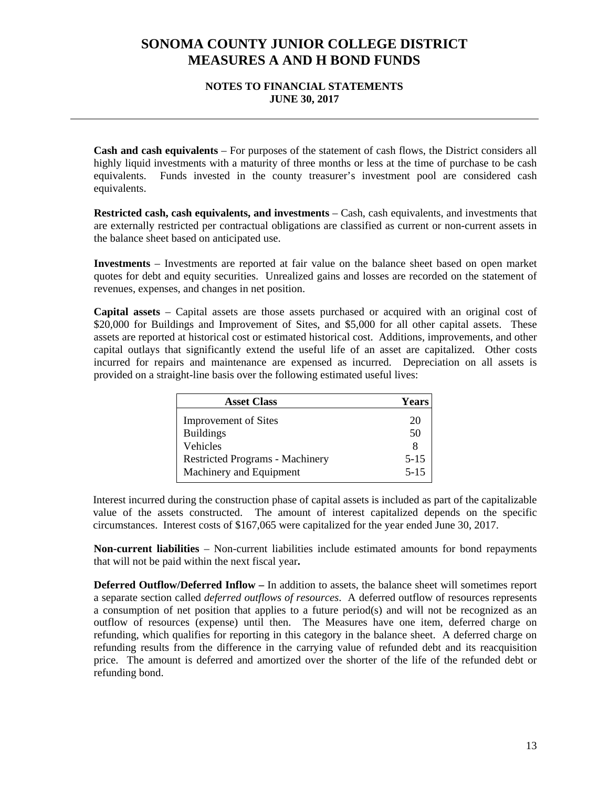### **NOTES TO FINANCIAL STATEMENTS JUNE 30, 2017**

**Cash and cash equivalents** – For purposes of the statement of cash flows, the District considers all highly liquid investments with a maturity of three months or less at the time of purchase to be cash equivalents. Funds invested in the county treasurer's investment pool are considered cash equivalents.

**Restricted cash, cash equivalents, and investments** – Cash, cash equivalents, and investments that are externally restricted per contractual obligations are classified as current or non-current assets in the balance sheet based on anticipated use.

**Investments** – Investments are reported at fair value on the balance sheet based on open market quotes for debt and equity securities. Unrealized gains and losses are recorded on the statement of revenues, expenses, and changes in net position.

**Capital assets** – Capital assets are those assets purchased or acquired with an original cost of \$20,000 for Buildings and Improvement of Sites, and \$5,000 for all other capital assets. These assets are reported at historical cost or estimated historical cost. Additions, improvements, and other capital outlays that significantly extend the useful life of an asset are capitalized. Other costs incurred for repairs and maintenance are expensed as incurred. Depreciation on all assets is provided on a straight-line basis over the following estimated useful lives:

| <b>Asset Class</b>                     | <b>Years</b> |
|----------------------------------------|--------------|
| <b>Improvement of Sites</b>            | 20           |
| <b>Buildings</b>                       | 50           |
| Vehicles                               |              |
| <b>Restricted Programs - Machinery</b> | $5 - 15$     |
| Machinery and Equipment                | $5 - 15$     |

Interest incurred during the construction phase of capital assets is included as part of the capitalizable value of the assets constructed. The amount of interest capitalized depends on the specific circumstances. Interest costs of \$167,065 were capitalized for the year ended June 30, 2017.

**Non-current liabilities** – Non-current liabilities include estimated amounts for bond repayments that will not be paid within the next fiscal year**.** 

**Deferred Outflow/Deferred Inflow –** In addition to assets, the balance sheet will sometimes report a separate section called *deferred outflows of resources*. A deferred outflow of resources represents a consumption of net position that applies to a future period(s) and will not be recognized as an outflow of resources (expense) until then. The Measures have one item, deferred charge on refunding, which qualifies for reporting in this category in the balance sheet. A deferred charge on refunding results from the difference in the carrying value of refunded debt and its reacquisition price. The amount is deferred and amortized over the shorter of the life of the refunded debt or refunding bond.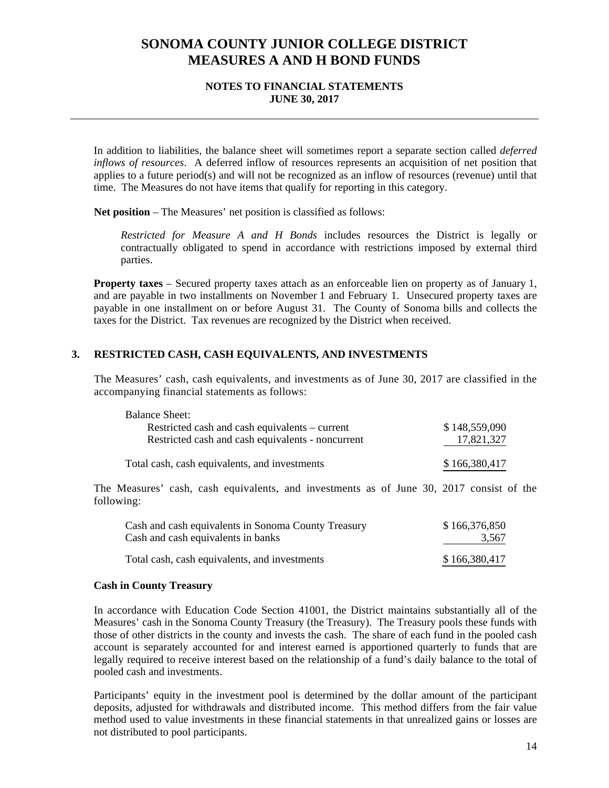#### **NOTES TO FINANCIAL STATEMENTS JUNE 30, 2017**

In addition to liabilities, the balance sheet will sometimes report a separate section called *deferred inflows of resources*. A deferred inflow of resources represents an acquisition of net position that applies to a future period(s) and will not be recognized as an inflow of resources (revenue) until that time. The Measures do not have items that qualify for reporting in this category.

**Net position** – The Measures' net position is classified as follows:

*Restricted for Measure A and H Bonds* includes resources the District is legally or contractually obligated to spend in accordance with restrictions imposed by external third parties.

**Property taxes** – Secured property taxes attach as an enforceable lien on property as of January 1, and are payable in two installments on November 1 and February 1. Unsecured property taxes are payable in one installment on or before August 31. The County of Sonoma bills and collects the taxes for the District. Tax revenues are recognized by the District when received.

### **3. RESTRICTED CASH, CASH EQUIVALENTS, AND INVESTMENTS**

The Measures' cash, cash equivalents, and investments as of June 30, 2017 are classified in the accompanying financial statements as follows:

| <b>Balance Sheet:</b>                             |               |
|---------------------------------------------------|---------------|
| Restricted cash and cash equivalents – current    | \$148,559,090 |
| Restricted cash and cash equivalents - noncurrent | 17,821,327    |
|                                                   |               |
| Total cash, cash equivalents, and investments     | \$166,380,417 |

The Measures' cash, cash equivalents, and investments as of June 30, 2017 consist of the following:

| Cash and cash equivalents in Sonoma County Treasury | \$166,376,850 |
|-----------------------------------------------------|---------------|
| Cash and cash equivalents in banks                  | 3,567         |
| Total cash, cash equivalents, and investments       | \$166,380,417 |

#### **Cash in County Treasury**

In accordance with Education Code Section 41001, the District maintains substantially all of the Measures' cash in the Sonoma County Treasury (the Treasury). The Treasury pools these funds with those of other districts in the county and invests the cash. The share of each fund in the pooled cash account is separately accounted for and interest earned is apportioned quarterly to funds that are legally required to receive interest based on the relationship of a fund's daily balance to the total of pooled cash and investments.

Participants' equity in the investment pool is determined by the dollar amount of the participant deposits, adjusted for withdrawals and distributed income. This method differs from the fair value method used to value investments in these financial statements in that unrealized gains or losses are not distributed to pool participants.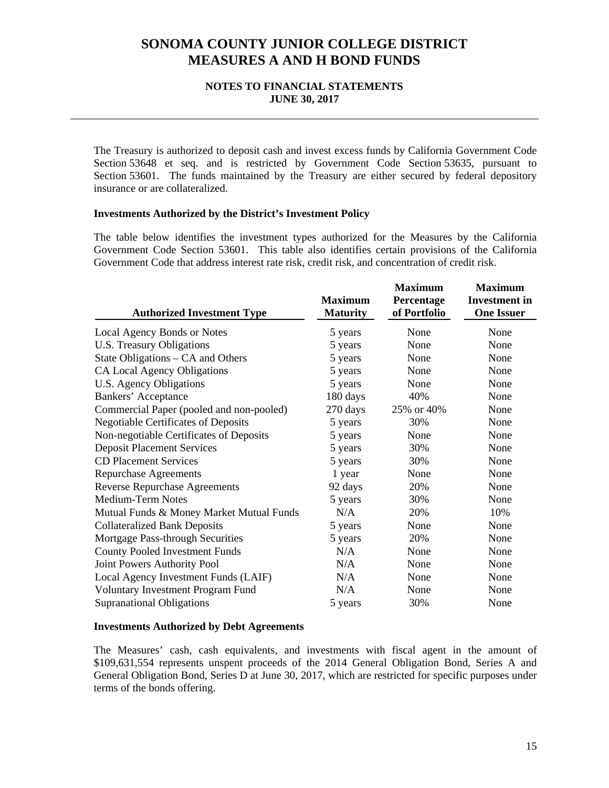### **NOTES TO FINANCIAL STATEMENTS JUNE 30, 2017**

The Treasury is authorized to deposit cash and invest excess funds by California Government Code Section 53648 et seq. and is restricted by Government Code Section 53635, pursuant to Section 53601. The funds maintained by the Treasury are either secured by federal depository insurance or are collateralized.

### **Investments Authorized by the District's Investment Policy**

The table below identifies the investment types authorized for the Measures by the California Government Code Section 53601. This table also identifies certain provisions of the California Government Code that address interest rate risk, credit risk, and concentration of credit risk.

| <b>Authorized Investment Type</b>          | <b>Maximum</b><br><b>Maturity</b> | <b>Maximum</b><br>Percentage<br>of Portfolio | <b>Maximum</b><br><b>Investment</b> in<br><b>One Issuer</b> |
|--------------------------------------------|-----------------------------------|----------------------------------------------|-------------------------------------------------------------|
| Local Agency Bonds or Notes                | 5 years                           | None                                         | None                                                        |
| U.S. Treasury Obligations                  | 5 years                           | None                                         | None                                                        |
| State Obligations – CA and Others          | 5 years                           | None                                         | None                                                        |
| CA Local Agency Obligations                | 5 years                           | None                                         | None                                                        |
| U.S. Agency Obligations                    | 5 years                           | None                                         | None                                                        |
| Bankers' Acceptance                        | 180 days                          | 40%                                          | None                                                        |
| Commercial Paper (pooled and non-pooled)   | 270 days                          | 25% or 40%                                   | None                                                        |
| <b>Negotiable Certificates of Deposits</b> | 5 years                           | 30%                                          | None                                                        |
| Non-negotiable Certificates of Deposits    | 5 years                           | None                                         | None                                                        |
| <b>Deposit Placement Services</b>          | 5 years                           | 30%                                          | None                                                        |
| <b>CD Placement Services</b>               | 5 years                           | 30%                                          | None                                                        |
| <b>Repurchase Agreements</b>               | 1 year                            | None                                         | None                                                        |
| <b>Reverse Repurchase Agreements</b>       | 92 days                           | 20%                                          | None                                                        |
| <b>Medium-Term Notes</b>                   | 5 years                           | 30%                                          | None                                                        |
| Mutual Funds & Money Market Mutual Funds   | N/A                               | 20%                                          | 10%                                                         |
| <b>Collateralized Bank Deposits</b>        | 5 years                           | None                                         | None                                                        |
| Mortgage Pass-through Securities           | 5 years                           | 20%                                          | None                                                        |
| <b>County Pooled Investment Funds</b>      | N/A                               | None                                         | None                                                        |
| Joint Powers Authority Pool                | N/A                               | None                                         | None                                                        |
| Local Agency Investment Funds (LAIF)       | N/A                               | None                                         | None                                                        |
| Voluntary Investment Program Fund          | N/A                               | None                                         | None                                                        |
| <b>Supranational Obligations</b>           | 5 years                           | 30%                                          | None                                                        |

#### **Investments Authorized by Debt Agreements**

The Measures' cash, cash equivalents, and investments with fiscal agent in the amount of \$109,631,554 represents unspent proceeds of the 2014 General Obligation Bond, Series A and General Obligation Bond, Series D at June 30, 2017, which are restricted for specific purposes under terms of the bonds offering.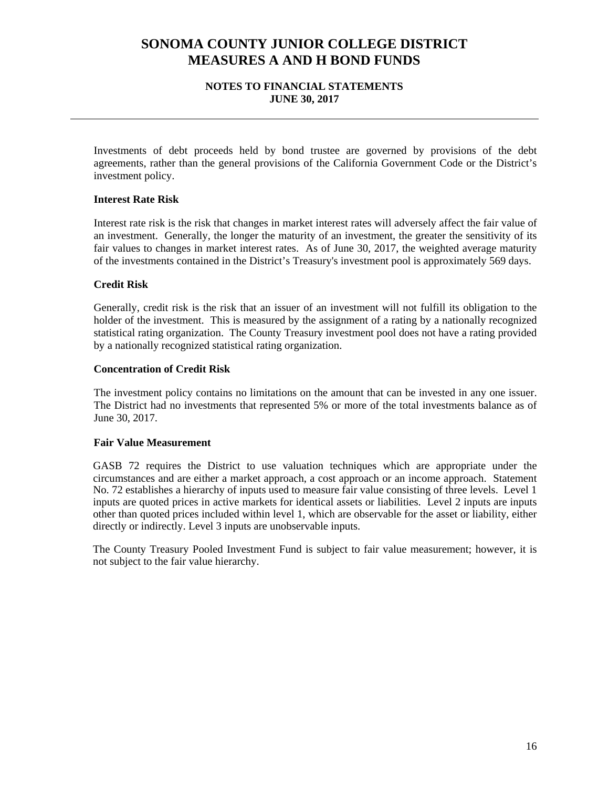### **NOTES TO FINANCIAL STATEMENTS JUNE 30, 2017**

Investments of debt proceeds held by bond trustee are governed by provisions of the debt agreements, rather than the general provisions of the California Government Code or the District's investment policy.

### **Interest Rate Risk**

Interest rate risk is the risk that changes in market interest rates will adversely affect the fair value of an investment. Generally, the longer the maturity of an investment, the greater the sensitivity of its fair values to changes in market interest rates. As of June 30, 2017, the weighted average maturity of the investments contained in the District's Treasury's investment pool is approximately 569 days.

### **Credit Risk**

Generally, credit risk is the risk that an issuer of an investment will not fulfill its obligation to the holder of the investment. This is measured by the assignment of a rating by a nationally recognized statistical rating organization. The County Treasury investment pool does not have a rating provided by a nationally recognized statistical rating organization.

### **Concentration of Credit Risk**

The investment policy contains no limitations on the amount that can be invested in any one issuer. The District had no investments that represented 5% or more of the total investments balance as of June 30, 2017.

#### **Fair Value Measurement**

GASB 72 requires the District to use valuation techniques which are appropriate under the circumstances and are either a market approach, a cost approach or an income approach. Statement No. 72 establishes a hierarchy of inputs used to measure fair value consisting of three levels. Level 1 inputs are quoted prices in active markets for identical assets or liabilities. Level 2 inputs are inputs other than quoted prices included within level 1, which are observable for the asset or liability, either directly or indirectly. Level 3 inputs are unobservable inputs.

The County Treasury Pooled Investment Fund is subject to fair value measurement; however, it is not subject to the fair value hierarchy.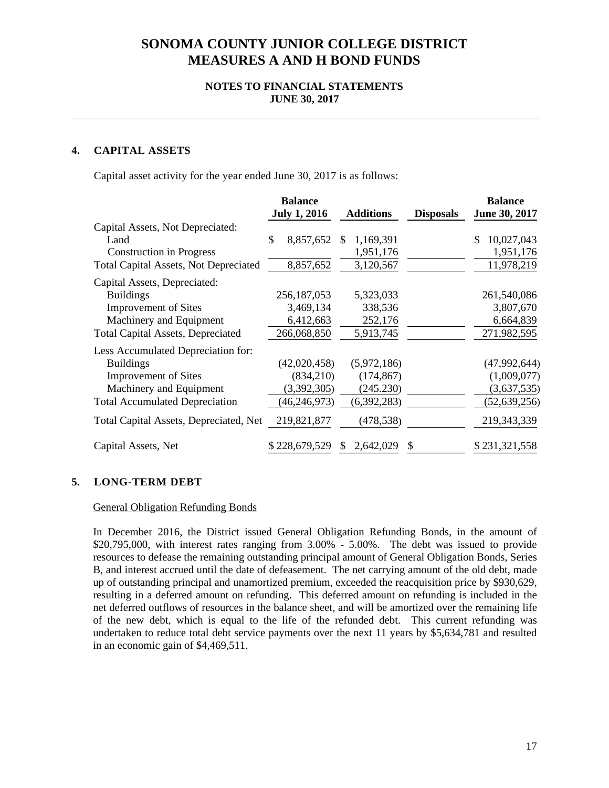### **NOTES TO FINANCIAL STATEMENTS JUNE 30, 2017**

### **4. CAPITAL ASSETS**

Capital asset activity for the year ended June 30, 2017 is as follows:

|                                               | <b>Balance</b>      |                  |                  | <b>Balance</b> |
|-----------------------------------------------|---------------------|------------------|------------------|----------------|
|                                               | <b>July 1, 2016</b> | <b>Additions</b> | <b>Disposals</b> | June 30, 2017  |
| Capital Assets, Not Depreciated:              |                     |                  |                  |                |
| Land                                          | \$<br>8,857,652     | 1,169,391<br>\$. |                  | 10,027,043     |
| <b>Construction in Progress</b>               |                     | 1,951,176        |                  | 1,951,176      |
| <b>Total Capital Assets, Not Depreciated</b>  | 8,857,652           | 3,120,567        |                  | 11,978,219     |
| Capital Assets, Depreciated:                  |                     |                  |                  |                |
| <b>Buildings</b>                              | 256, 187, 053       | 5,323,033        |                  | 261,540,086    |
| <b>Improvement of Sites</b>                   | 3,469,134           | 338,536          |                  | 3,807,670      |
| Machinery and Equipment                       | 6,412,663           | 252,176          |                  | 6,664,839      |
| <b>Total Capital Assets, Depreciated</b>      | 266,068,850         | 5,913,745        |                  | 271,982,595    |
| Less Accumulated Depreciation for:            |                     |                  |                  |                |
| <b>Buildings</b>                              | (42,020,458)        | (5,972,186)      |                  | (47,992,644)   |
| <b>Improvement of Sites</b>                   | (834,210)           | (174, 867)       |                  | (1,009,077)    |
| Machinery and Equipment                       | (3,392,305)         | (245.230)        |                  | (3,637,535)    |
| <b>Total Accumulated Depreciation</b>         | (46, 246, 973)      | (6,392,283)      |                  | (52, 639, 256) |
| <b>Total Capital Assets, Depreciated, Net</b> | 219,821,877         | (478, 538)       |                  | 219,343,339    |
| Capital Assets, Net                           | \$228,679,529       | 2,642,029<br>\$. |                  | \$231,321,558  |

### **5. LONG-TERM DEBT**

General Obligation Refunding Bonds

In December 2016, the District issued General Obligation Refunding Bonds, in the amount of \$20,795,000, with interest rates ranging from 3.00% - 5.00%. The debt was issued to provide resources to defease the remaining outstanding principal amount of General Obligation Bonds, Series B, and interest accrued until the date of defeasement. The net carrying amount of the old debt, made up of outstanding principal and unamortized premium, exceeded the reacquisition price by \$930,629, resulting in a deferred amount on refunding. This deferred amount on refunding is included in the net deferred outflows of resources in the balance sheet, and will be amortized over the remaining life of the new debt, which is equal to the life of the refunded debt. This current refunding was undertaken to reduce total debt service payments over the next 11 years by \$5,634,781 and resulted in an economic gain of \$4,469,511.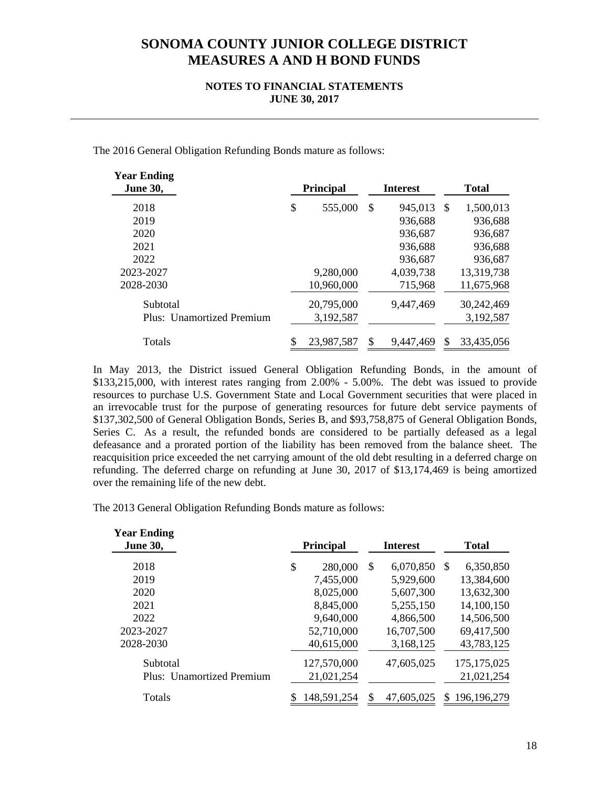#### **NOTES TO FINANCIAL STATEMENTS JUNE 30, 2017**

The 2016 General Obligation Refunding Bonds mature as follows:

| <b>Year Ending</b><br><b>June 30,</b> | <b>Principal</b> | <b>Interest</b> |    | <b>Total</b> |
|---------------------------------------|------------------|-----------------|----|--------------|
| 2018                                  | \$<br>555,000    | \$<br>945,013   | -S | 1,500,013    |
| 2019                                  |                  | 936,688         |    | 936,688      |
| 2020                                  |                  | 936,687         |    | 936,687      |
| 2021                                  |                  | 936,688         |    | 936,688      |
| 2022                                  |                  | 936,687         |    | 936,687      |
| 2023-2027                             | 9,280,000        | 4,039,738       |    | 13,319,738   |
| 2028-2030                             | 10,960,000       | 715,968         |    | 11,675,968   |
| Subtotal                              | 20,795,000       | 9,447,469       |    | 30,242,469   |
| <b>Plus:</b> Unamortized Premium      | 3,192,587        |                 |    | 3,192,587    |
| Totals                                | \$<br>23,987,587 | \$<br>9,447,469 |    | 33,435,056   |

In May 2013, the District issued General Obligation Refunding Bonds, in the amount of \$133,215,000, with interest rates ranging from 2.00% - 5.00%. The debt was issued to provide resources to purchase U.S. Government State and Local Government securities that were placed in an irrevocable trust for the purpose of generating resources for future debt service payments of \$137,302,500 of General Obligation Bonds, Series B, and \$93,758,875 of General Obligation Bonds, Series C. As a result, the refunded bonds are considered to be partially defeased as a legal defeasance and a prorated portion of the liability has been removed from the balance sheet. The reacquisition price exceeded the net carrying amount of the old debt resulting in a deferred charge on refunding. The deferred charge on refunding at June 30, 2017 of \$13,174,469 is being amortized over the remaining life of the new debt.

The 2013 General Obligation Refunding Bonds mature as follows:

| <b>Year Ending</b><br><b>June 30,</b> | <b>Principal</b> | <b>Interest</b>  |    | <b>Total</b>  |
|---------------------------------------|------------------|------------------|----|---------------|
| 2018                                  | \$<br>280,000    | \$<br>6,070,850  | -S | 6,350,850     |
| 2019                                  | 7,455,000        | 5,929,600        |    | 13,384,600    |
| 2020                                  | 8,025,000        | 5,607,300        |    | 13,632,300    |
| 2021                                  | 8,845,000        | 5,255,150        |    | 14,100,150    |
| 2022                                  | 9,640,000        | 4,866,500        |    | 14,506,500    |
| 2023-2027                             | 52,710,000       | 16,707,500       |    | 69,417,500    |
| 2028-2030                             | 40,615,000       | 3,168,125        |    | 43,783,125    |
| Subtotal                              | 127,570,000      | 47,605,025       |    | 175, 175, 025 |
| Plus: Unamortized Premium             | 21,021,254       |                  |    | 21,021,254    |
| Totals                                | 148,591,254      | \$<br>47,605,025 |    | 196,196,279   |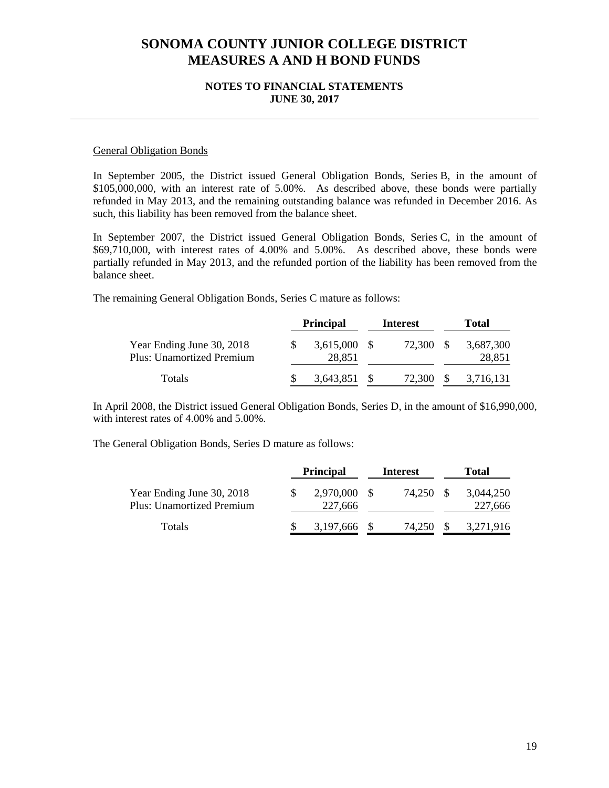### **NOTES TO FINANCIAL STATEMENTS JUNE 30, 2017**

### General Obligation Bonds

In September 2005, the District issued General Obligation Bonds, Series B, in the amount of \$105,000,000, with an interest rate of 5.00%. As described above, these bonds were partially refunded in May 2013, and the remaining outstanding balance was refunded in December 2016. As such, this liability has been removed from the balance sheet.

In September 2007, the District issued General Obligation Bonds, Series C, in the amount of \$69,710,000, with interest rates of 4.00% and 5.00%. As described above, these bonds were partially refunded in May 2013, and the refunded portion of the liability has been removed from the balance sheet.

The remaining General Obligation Bonds, Series C mature as follows:

|                                                               | <b>Principal</b>    |           | <b>Interest</b> | <b>Total</b>        |
|---------------------------------------------------------------|---------------------|-----------|-----------------|---------------------|
| Year Ending June 30, 2018<br><b>Plus: Unamortized Premium</b> | 3.615.000<br>28,851 | 72.300 \$ |                 | 3.687.300<br>28,851 |
| Totals                                                        | 3,643,851 \$        |           | 72,300 \$       | 3,716,131           |

with interest rates of  $4.00\%$  and  $5.00\%$ . In April 2008, the District issued General Obligation Bonds, Series D, in the amount of \$16,990,000,

The General Obligation Bonds, Series D mature as follows:

|                                                               | <b>Principal</b>     | <b>Interest</b> |      | <b>Total</b>         |
|---------------------------------------------------------------|----------------------|-----------------|------|----------------------|
| Year Ending June 30, 2018<br><b>Plus: Unamortized Premium</b> | 2,970,000<br>227,666 | 74.250 \$       |      | 3.044.250<br>227,666 |
| <b>Totals</b>                                                 | 3,197,666 \$         | 74.250          | - \$ | 3,271,916            |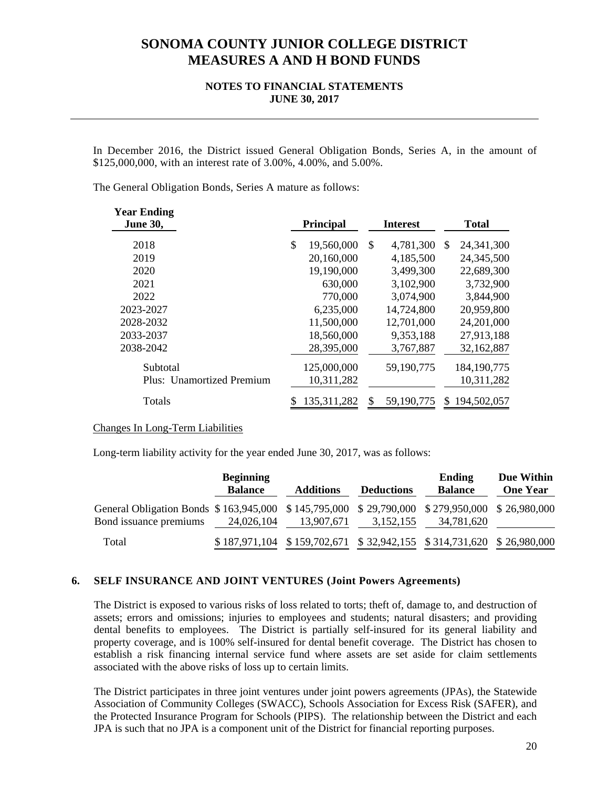#### **NOTES TO FINANCIAL STATEMENTS JUNE 30, 2017**

In December 2016, the District issued General Obligation Bonds, Series A, in the amount of \$125,000,000, with an interest rate of 3.00%, 4.00%, and 5.00%.

The General Obligation Bonds, Series A mature as follows:

| <b>Year Ending</b><br><b>June 30,</b> | <b>Principal</b> | <b>Interest</b>  |     | <b>Total</b>  |
|---------------------------------------|------------------|------------------|-----|---------------|
| 2018                                  | \$<br>19,560,000 | \$<br>4,781,300  | \$. | 24,341,300    |
| 2019                                  | 20,160,000       | 4,185,500        |     | 24, 345, 500  |
| 2020                                  | 19,190,000       | 3,499,300        |     | 22,689,300    |
| 2021                                  | 630,000          | 3,102,900        |     | 3,732,900     |
| 2022                                  | 770,000          | 3,074,900        |     | 3,844,900     |
| 2023-2027                             | 6,235,000        | 14,724,800       |     | 20,959,800    |
| 2028-2032                             | 11,500,000       | 12,701,000       |     | 24,201,000    |
| 2033-2037                             | 18,560,000       | 9,353,188        |     | 27,913,188    |
| 2038-2042                             | 28,395,000       | 3,767,887        |     | 32,162,887    |
| Subtotal                              | 125,000,000      | 59,190,775       |     | 184, 190, 775 |
| <b>Plus:</b> Unamortized Premium      | 10,311,282       |                  |     | 10,311,282    |
| Totals                                | 135, 311, 282    | \$<br>59,190,775 | \$. | 194,502,057   |

#### Changes In Long-Term Liabilities

Long-term liability activity for the year ended June 30, 2017, was as follows:

|                                                                                                                        | <b>Beginning</b><br><b>Balance</b> | <b>Additions</b> | <b>Deductions</b> | Ending<br><b>Balance</b>                                            | Due Within<br><b>One Year</b> |
|------------------------------------------------------------------------------------------------------------------------|------------------------------------|------------------|-------------------|---------------------------------------------------------------------|-------------------------------|
| General Obligation Bonds \$163,945,000 \$145,795,000 \$29,790,000 \$279,950,000 \$26,980,000<br>Bond issuance premiums | 24,026,104                         | 13,907,671       | 3,152,155         | 34,781,620                                                          |                               |
| Total                                                                                                                  |                                    |                  |                   | \$187,971,104 \$159,702,671 \$32,942,155 \$314,731,620 \$26,980,000 |                               |

#### **6. SELF INSURANCE AND JOINT VENTURES (Joint Powers Agreements)**

The District is exposed to various risks of loss related to torts; theft of, damage to, and destruction of assets; errors and omissions; injuries to employees and students; natural disasters; and providing dental benefits to employees. The District is partially self-insured for its general liability and property coverage, and is 100% self-insured for dental benefit coverage. The District has chosen to establish a risk financing internal service fund where assets are set aside for claim settlements associated with the above risks of loss up to certain limits.

The District participates in three joint ventures under joint powers agreements (JPAs), the Statewide Association of Community Colleges (SWACC), Schools Association for Excess Risk (SAFER), and the Protected Insurance Program for Schools (PIPS). The relationship between the District and each JPA is such that no JPA is a component unit of the District for financial reporting purposes.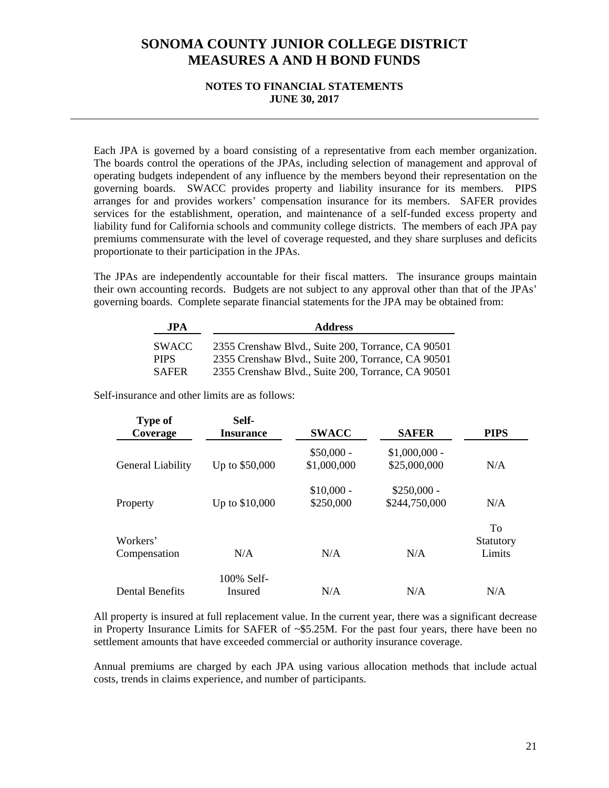### **NOTES TO FINANCIAL STATEMENTS JUNE 30, 2017**

Each JPA is governed by a board consisting of a representative from each member organization. The boards control the operations of the JPAs, including selection of management and approval of operating budgets independent of any influence by the members beyond their representation on the governing boards. SWACC provides property and liability insurance for its members. PIPS arranges for and provides workers' compensation insurance for its members. SAFER provides services for the establishment, operation, and maintenance of a self-funded excess property and liability fund for California schools and community college districts. The members of each JPA pay premiums commensurate with the level of coverage requested, and they share surpluses and deficits proportionate to their participation in the JPAs.

The JPAs are independently accountable for their fiscal matters. The insurance groups maintain their own accounting records. Budgets are not subject to any approval other than that of the JPAs' governing boards. Complete separate financial statements for the JPA may be obtained from:

| <b>JPA</b>   | <b>Address</b>                                     |
|--------------|----------------------------------------------------|
| <b>SWACC</b> | 2355 Crenshaw Blvd., Suite 200, Torrance, CA 90501 |
| <b>PIPS</b>  | 2355 Crenshaw Blvd., Suite 200, Torrance, CA 90501 |
| <b>SAFER</b> | 2355 Crenshaw Blvd., Suite 200, Torrance, CA 90501 |

Self-insurance and other limits are as follows:

| <b>Type of</b><br>Coverage | Self-<br><b>Insurance</b> | <b>SWACC</b>               | <b>SAFER</b>                   | <b>PIPS</b>               |  |
|----------------------------|---------------------------|----------------------------|--------------------------------|---------------------------|--|
| General Liability          | Up to \$50,000            | $$50,000 -$<br>\$1,000,000 | $$1,000,000$ -<br>\$25,000,000 | N/A                       |  |
| Property                   | Up to \$10,000            | $$10,000 -$<br>\$250,000   | $$250,000 -$<br>\$244,750,000  | N/A                       |  |
| Workers'<br>Compensation   | N/A                       | N/A                        | N/A                            | To<br>Statutory<br>Limits |  |
| <b>Dental Benefits</b>     | 100% Self-<br>Insured     | N/A                        | N/A                            | N/A                       |  |

All property is insured at full replacement value. In the current year, there was a significant decrease in Property Insurance Limits for SAFER of ~\$5.25M. For the past four years, there have been no settlement amounts that have exceeded commercial or authority insurance coverage.

Annual premiums are charged by each JPA using various allocation methods that include actual costs, trends in claims experience, and number of participants.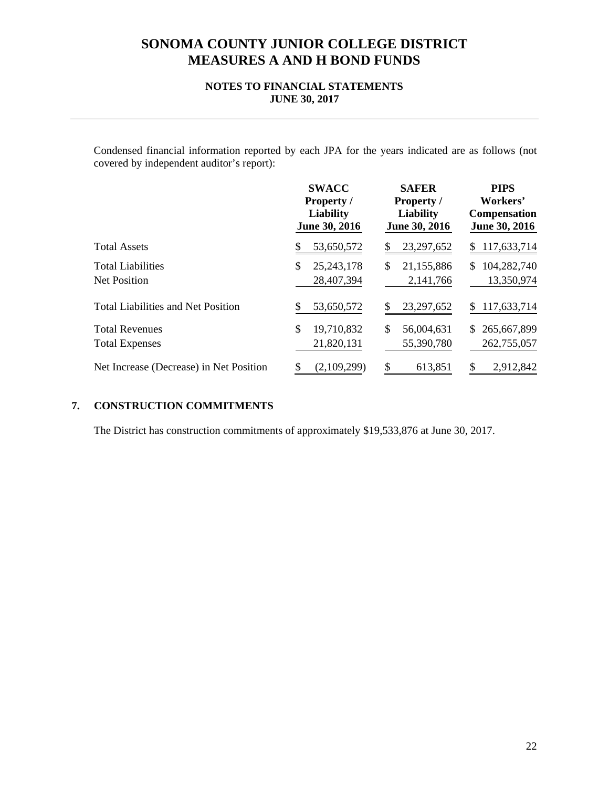### **NOTES TO FINANCIAL STATEMENTS JUNE 30, 2017**

Condensed financial information reported by each JPA for the years indicated are as follows (not covered by independent auditor's report):

|                                                 | <b>SWACC</b>                     | <b>SAFER</b>                   | <b>PIPS</b>                      |  |
|-------------------------------------------------|----------------------------------|--------------------------------|----------------------------------|--|
|                                                 | <b>Property</b> /                | <b>Property</b> /              | Workers'                         |  |
|                                                 | <b>Liability</b>                 | <b>Liability</b>               | Compensation                     |  |
|                                                 | June 30, 2016                    | June 30, 2016                  | June 30, 2016                    |  |
| <b>Total Assets</b>                             | 53,650,572                       | 23,297,652                     | 117,633,714                      |  |
|                                                 | \$                               | S                              | \$                               |  |
| <b>Total Liabilities</b><br><b>Net Position</b> | \$<br>25, 243, 178<br>28,407,394 | 21,155,886<br>\$<br>2,141,766  | 104,282,740<br>\$.<br>13,350,974 |  |
| <b>Total Liabilities and Net Position</b>       | 53,650,572<br>\$                 | 23,297,652                     | 117,633,714<br>S                 |  |
| <b>Total Revenues</b><br><b>Total Expenses</b>  | \$<br>19,710,832<br>21,820,131   | \$<br>56,004,631<br>55,390,780 | 265,667,899<br>S.<br>262,755,057 |  |
| Net Increase (Decrease) in Net Position         | (2,109,299)                      | 613,851                        | 2,912,842                        |  |
|                                                 | \$                               | \$                             | \$                               |  |

## **7. CONSTRUCTION COMMITMENTS**

The District has construction commitments of approximately \$19,533,876 at June 30, 2017.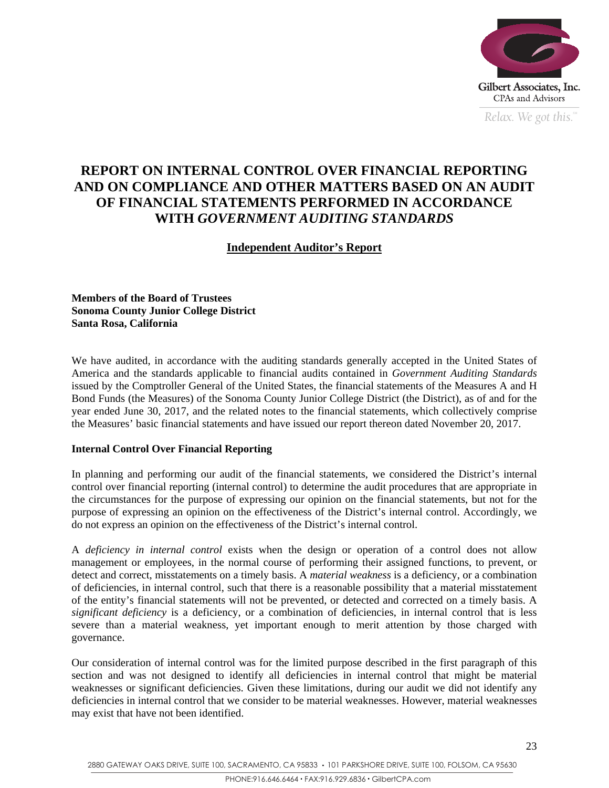

*Relax. We got this. Pelax. We got this. Relax. We got this. Perminant* 

23

## **REPORT ON INTERNAL CONTROL OVER FINANCIAL REPORTING AND ON COMPLIANCE AND OTHER MATTERS BASED ON AN AUDIT OF FINANCIAL STATEMENTS PERFORMED IN ACCORDANCE WITH** *GOVERNMENT AUDITING STANDARDS*

## **Independent Auditor's Report**

**Members of the Board of Trustees Sonoma County Junior College District Santa Rosa, California** 

We have audited, in accordance with the auditing standards generally accepted in the United States of America and the standards applicable to financial audits contained in *Government Auditing Standards*  issued by the Comptroller General of the United States, the financial statements of the Measures A and H Bond Funds (the Measures) of the Sonoma County Junior College District (the District), as of and for the year ended June 30, 2017, and the related notes to the financial statements, which collectively comprise the Measures' basic financial statements and have issued our report thereon dated November 20, 2017.

### **Internal Control Over Financial Reporting**

In planning and performing our audit of the financial statements, we considered the District's internal control over financial reporting (internal control) to determine the audit procedures that are appropriate in the circumstances for the purpose of expressing our opinion on the financial statements, but not for the purpose of expressing an opinion on the effectiveness of the District's internal control. Accordingly, we do not express an opinion on the effectiveness of the District's internal control.

A *deficiency in internal control* exists when the design or operation of a control does not allow management or employees, in the normal course of performing their assigned functions, to prevent, or detect and correct, misstatements on a timely basis. A *material weakness* is a deficiency, or a combination of deficiencies, in internal control, such that there is a reasonable possibility that a material misstatement of the entity's financial statements will not be prevented, or detected and corrected on a timely basis. A *significant deficiency* is a deficiency, or a combination of deficiencies, in internal control that is less severe than a material weakness, yet important enough to merit attention by those charged with governance.

Our consideration of internal control was for the limited purpose described in the first paragraph of this section and was not designed to identify all deficiencies in internal control that might be material weaknesses or significant deficiencies. Given these limitations, during our audit we did not identify any deficiencies in internal control that we consider to be material weaknesses. However, material weaknesses may exist that have not been identified.

2880 GATEWAY OAKS DRIVE, SUITE 100, SACRAMENTO, CA 95833 · 101 PARKSHORE DRIVE, SUITE 100, FOLSOM, CA 95630